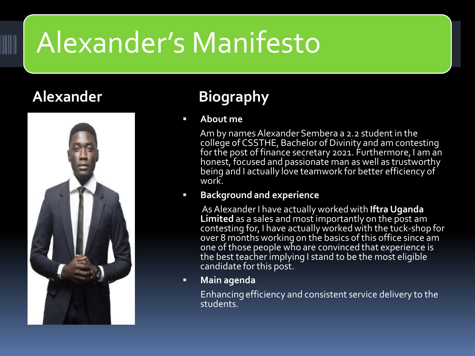# Alexander's Manifesto



### **Alexander Biography**

### **About me**

Am by names Alexander Sembera a 2.2 student in the college of CSSTHE, Bachelor of Divinity and am contesting for the post of finance secretary 2021. Furthermore, I am an honest, focused and passionate man as well as trustworthy being and I actually love teamwork for better efficiency of work.

#### **Background and experience**

As Alexander I have actually worked with **Iftra Uganda Limited** as a sales and most importantly on the post am contesting for, I have actually worked with the tuck-shop for over 8 months working on the basics of this office since am one of those people who are convinced that experience is the best teacher implying I stand to be the most eligible candidate for this post.

**Main agenda** 

Enhancing efficiency and consistent service delivery to the students.